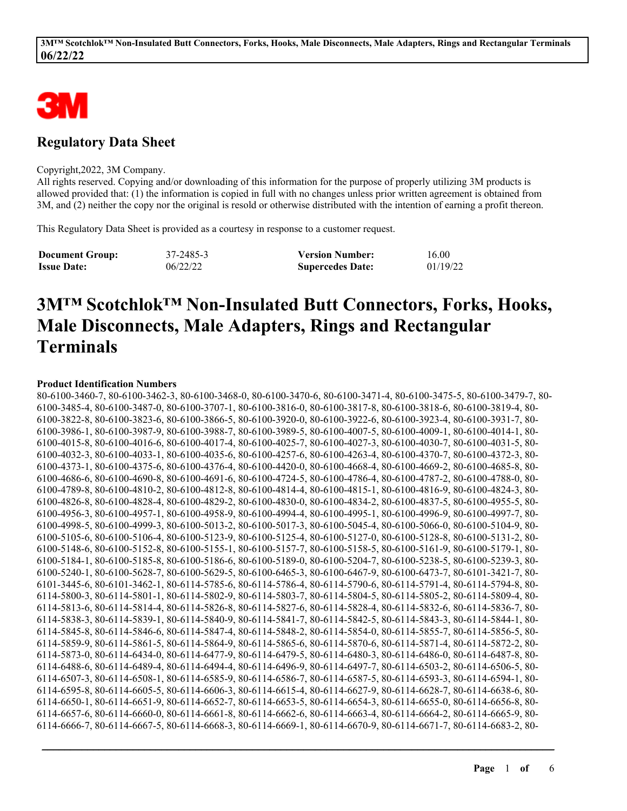

# **Regulatory Data Sheet**

#### Copyright,2022, 3M Company.

All rights reserved. Copying and/or downloading of this information for the purpose of properly utilizing 3M products is allowed provided that: (1) the information is copied in full with no changes unless prior written agreement is obtained from 3M, and (2) neither the copy nor the original is resold or otherwise distributed with the intention of earning a profit thereon.

This Regulatory Data Sheet is provided as a courtesy in response to a customer request.

| <b>Document Group:</b> | 37-2485-3 | <b>Version Number:</b>  | 16.00    |
|------------------------|-----------|-------------------------|----------|
| <b>Issue Date:</b>     | 06/22/22  | <b>Supercedes Date:</b> | 01/19/22 |

# **3M™ Scotchlok™ Non-Insulated Butt Connectors, Forks, Hooks, Male Disconnects, Male Adapters, Rings and Rectangular Terminals**

#### **Product Identification Numbers**

| 80-6100-3460-7, 80-6100-3462-3, 80-6100-3468-0, 80-6100-3470-6, 80-6100-3471-4, 80-6100-3475-5, 80-6100-3479-7, 80- |
|---------------------------------------------------------------------------------------------------------------------|
| 6100-3485-4, 80-6100-3487-0, 80-6100-3707-1, 80-6100-3816-0, 80-6100-3817-8, 80-6100-3818-6, 80-6100-3819-4, 80-    |
| 6100-3822-8, 80-6100-3823-6, 80-6100-3866-5, 80-6100-3920-0, 80-6100-3922-6, 80-6100-3923-4, 80-6100-3931-7, 80-    |
| 6100-3986-1, 80-6100-3987-9, 80-6100-3988-7, 80-6100-3989-5, 80-6100-4007-5, 80-6100-4009-1, 80-6100-4014-1, 80-    |
| 6100-4015-8, 80-6100-4016-6, 80-6100-4017-4, 80-6100-4025-7, 80-6100-4027-3, 80-6100-4030-7, 80-6100-4031-5, 80-    |
| 6100-4032-3, 80-6100-4033-1, 80-6100-4035-6, 80-6100-4257-6, 80-6100-4263-4, 80-6100-4370-7, 80-6100-4372-3, 80-    |
| 6100-4373-1, 80-6100-4375-6, 80-6100-4376-4, 80-6100-4420-0, 80-6100-4668-4, 80-6100-4669-2, 80-6100-4685-8, 80-    |
| 6100-4686-6, 80-6100-4690-8, 80-6100-4691-6, 80-6100-4724-5, 80-6100-4786-4, 80-6100-4787-2, 80-6100-4788-0, 80-    |
| 6100-4789-8, 80-6100-4810-2, 80-6100-4812-8, 80-6100-4814-4, 80-6100-4815-1, 80-6100-4816-9, 80-6100-4824-3, 80-    |
| 6100-4826-8, 80-6100-4828-4, 80-6100-4829-2, 80-6100-4830-0, 80-6100-4834-2, 80-6100-4837-5, 80-6100-4955-5, 80-    |
| 6100-4956-3, 80-6100-4957-1, 80-6100-4958-9, 80-6100-4994-4, 80-6100-4995-1, 80-6100-4996-9, 80-6100-4997-7, 80-    |
| 6100-4998-5, 80-6100-4999-3, 80-6100-5013-2, 80-6100-5017-3, 80-6100-5045-4, 80-6100-5066-0, 80-6100-5104-9, 80-    |
| 6100-5105-6, 80-6100-5106-4, 80-6100-5123-9, 80-6100-5125-4, 80-6100-5127-0, 80-6100-5128-8, 80-6100-5131-2, 80-    |
| 6100-5148-6, 80-6100-5152-8, 80-6100-5155-1, 80-6100-5157-7, 80-6100-5158-5, 80-6100-5161-9, 80-6100-5179-1, 80-    |
| 6100-5184-1, 80-6100-5185-8, 80-6100-5186-6, 80-6100-5189-0, 80-6100-5204-7, 80-6100-5238-5, 80-6100-5239-3, 80-    |
| 6100-5240-1, 80-6100-5628-7, 80-6100-5629-5, 80-6100-6465-3, 80-6100-6467-9, 80-6100-6473-7, 80-6101-3421-7, 80-    |
| 6101-3445-6, 80-6101-3462-1, 80-6114-5785-6, 80-6114-5786-4, 80-6114-5790-6, 80-6114-5791-4, 80-6114-5794-8, 80-    |
| 6114-5800-3, 80-6114-5801-1, 80-6114-5802-9, 80-6114-5803-7, 80-6114-5804-5, 80-6114-5805-2, 80-6114-5809-4, 80-    |
| 6114-5813-6, 80-6114-5814-4, 80-6114-5826-8, 80-6114-5827-6, 80-6114-5828-4, 80-6114-5832-6, 80-6114-5836-7, 80-    |
| 6114-5838-3, 80-6114-5839-1, 80-6114-5840-9, 80-6114-5841-7, 80-6114-5842-5, 80-6114-5843-3, 80-6114-5844-1, 80-    |
| 6114-5845-8, 80-6114-5846-6, 80-6114-5847-4, 80-6114-5848-2, 80-6114-5854-0, 80-6114-5855-7, 80-6114-5856-5, 80-    |
| 6114-5859-9, 80-6114-5861-5, 80-6114-5864-9, 80-6114-5865-6, 80-6114-5870-6, 80-6114-5871-4, 80-6114-5872-2, 80-    |
| 6114-5873-0, 80-6114-6434-0, 80-6114-6477-9, 80-6114-6479-5, 80-6114-6480-3, 80-6114-6486-0, 80-6114-6487-8, 80-    |
| 6114-6488-6, 80-6114-6489-4, 80-6114-6494-4, 80-6114-6496-9, 80-6114-6497-7, 80-6114-6503-2, 80-6114-6506-5, 80-    |
| 6114-6507-3, 80-6114-6508-1, 80-6114-6585-9, 80-6114-6586-7, 80-6114-6587-5, 80-6114-6593-3, 80-6114-6594-1, 80-    |
| 6114-6595-8, 80-6114-6605-5, 80-6114-6606-3, 80-6114-6615-4, 80-6114-6627-9, 80-6114-6628-7, 80-6114-6638-6, 80-    |
| 6114-6650-1, 80-6114-6651-9, 80-6114-6652-7, 80-6114-6653-5, 80-6114-6654-3, 80-6114-6655-0, 80-6114-6656-8, 80-    |
| 6114-6657-6, 80-6114-6660-0, 80-6114-6661-8, 80-6114-6662-6, 80-6114-6663-4, 80-6114-6664-2, 80-6114-6665-9, 80-    |
| 6114-6666-7, 80-6114-6667-5, 80-6114-6668-3, 80-6114-6669-1, 80-6114-6670-9, 80-6114-6671-7, 80-6114-6683-2, 80-    |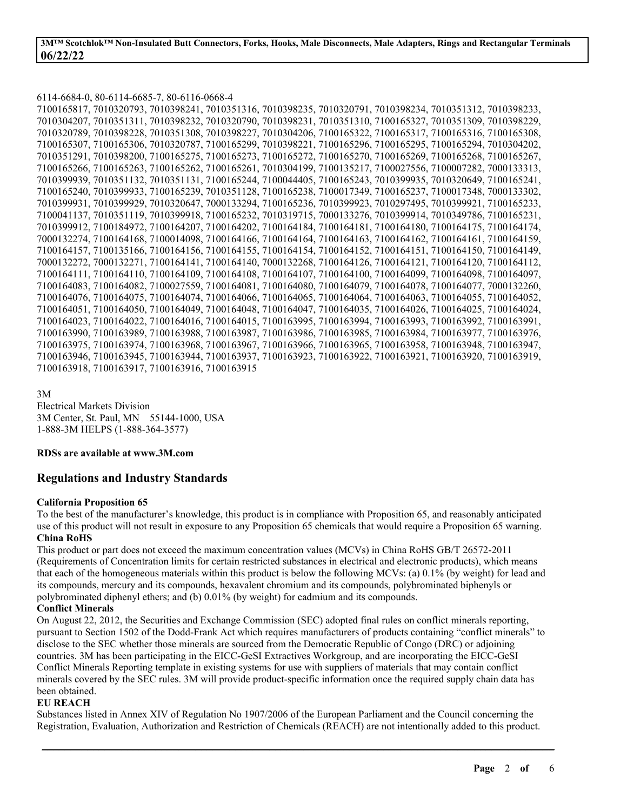#### 6114-6684-0, 80-6114-6685-7, 80-6116-0668-4

|  |  |                                                | 7100165817, 7010320793, 7010398241, 7010351316, 7010398235, 7010320791, 7010398234, 7010351312, 7010398233, |  |  |
|--|--|------------------------------------------------|-------------------------------------------------------------------------------------------------------------|--|--|
|  |  |                                                | 7010304207, 7010351311, 7010398232, 7010320790, 7010398231, 7010351310, 7100165327, 7010351309, 7010398229, |  |  |
|  |  |                                                | 7010320789, 7010398228, 7010351308, 7010398227, 7010304206, 7100165322, 7100165317, 7100165316, 7100165308, |  |  |
|  |  |                                                | 7100165307, 7100165306, 7010320787, 7100165299, 7010398221, 7100165296, 7100165295, 7100165294, 7010304202, |  |  |
|  |  |                                                | 7010351291, 7010398200, 7100165275, 7100165273, 7100165272, 7100165270, 7100165269, 7100165268, 7100165267, |  |  |
|  |  |                                                | 7100165266, 7100165263, 7100165262, 7100165261, 7010304199, 7100135217, 7100027556, 7100007282, 7000133313, |  |  |
|  |  |                                                | 7010399939, 7010351132, 7010351131, 7100165244, 7100044405, 7100165243, 7010399935, 7010320649, 7100165241, |  |  |
|  |  |                                                | 7100165240, 7010399933, 7100165239, 7010351128, 7100165238, 7100017349, 7100165237, 7100017348, 7000133302, |  |  |
|  |  |                                                | 7010399931, 7010399929, 7010320647, 7000133294, 7100165236, 7010399923, 7010297495, 7010399921, 7100165233, |  |  |
|  |  |                                                | 7100041137, 7010351119, 7010399918, 7100165232, 7010319715, 7000133276, 7010399914, 7010349786, 7100165231, |  |  |
|  |  |                                                | 7010399912, 7100184972, 7100164207, 7100164202, 7100164184, 7100164181, 7100164180, 7100164175, 7100164174, |  |  |
|  |  |                                                | 7000132274, 7100164168, 7100014098, 7100164166, 7100164164, 7100164163, 7100164162, 7100164161, 7100164159, |  |  |
|  |  |                                                | 7100164157, 7100135166, 7100164156, 7100164155, 7100164154, 7100164152, 7100164151, 7100164150, 7100164149, |  |  |
|  |  |                                                | 7000132272, 7000132271, 7100164141, 7100164140, 7000132268, 7100164126, 7100164121, 7100164120, 7100164112, |  |  |
|  |  |                                                | 7100164111, 7100164110, 7100164109, 7100164108, 7100164107, 7100164100, 7100164099, 7100164098, 7100164097, |  |  |
|  |  |                                                | 7100164083, 7100164082, 7100027559, 7100164081, 7100164080, 7100164079, 7100164078, 7100164077, 7000132260, |  |  |
|  |  |                                                | 7100164076, 7100164075, 7100164074, 7100164066, 7100164065, 7100164064, 7100164063, 7100164055, 7100164052, |  |  |
|  |  |                                                | 7100164051, 7100164050, 7100164049, 7100164048, 7100164047, 7100164035, 7100164026, 7100164025, 7100164024, |  |  |
|  |  |                                                | 7100164023, 7100164022, 7100164016, 7100164015, 7100163995, 7100163994, 7100163993, 7100163992, 7100163991, |  |  |
|  |  |                                                | 7100163990, 7100163989, 7100163988, 7100163987, 7100163986, 7100163985, 7100163984, 7100163977, 7100163976, |  |  |
|  |  |                                                | 7100163975, 7100163974, 7100163968, 7100163967, 7100163966, 7100163965, 7100163958, 7100163948, 7100163947, |  |  |
|  |  |                                                | 7100163946, 7100163945, 7100163944, 7100163937, 7100163923, 7100163922, 7100163921, 7100163920, 7100163919, |  |  |
|  |  | 7100163918, 7100163917, 7100163916, 7100163915 |                                                                                                             |  |  |

3M Electrical Markets Division 3M Center, St. Paul, MN 55144-1000, USA 1-888-3M HELPS (1-888-364-3577)

#### **RDSs are available at www.3M.com**

# **Regulations and Industry Standards**

#### **California Proposition 65**

To the best of the manufacturer's knowledge, this product is in compliance with Proposition 65, and reasonably anticipated use of this product will not result in exposure to any Proposition 65 chemicals that would require a Proposition 65 warning. **China RoHS**

This product or part does not exceed the maximum concentration values (MCVs) in China RoHS GB/T 26572-2011 (Requirements of Concentration limits for certain restricted substances in electrical and electronic products), which means that each of the homogeneous materials within this product is below the following MCVs: (a) 0.1% (by weight) for lead and its compounds, mercury and its compounds, hexavalent chromium and its compounds, polybrominated biphenyls or polybrominated diphenyl ethers; and (b) 0.01% (by weight) for cadmium and its compounds.

## **Conflict Minerals**

On August 22, 2012, the Securities and Exchange Commission (SEC) adopted final rules on conflict minerals reporting, pursuant to Section 1502 of the Dodd-Frank Act which requires manufacturers of products containing "conflict minerals" to disclose to the SEC whether those minerals are sourced from the Democratic Republic of Congo (DRC) or adjoining countries. 3M has been participating in the EICC-GeSI Extractives Workgroup, and are incorporating the EICC-GeSI Conflict Minerals Reporting template in existing systems for use with suppliers of materials that may contain conflict minerals covered by the SEC rules. 3M will provide product-specific information once the required supply chain data has been obtained.

#### **EU REACH**

Substances listed in Annex XIV of Regulation No 1907/2006 of the European Parliament and the Council concerning the Registration, Evaluation, Authorization and Restriction of Chemicals (REACH) are not intentionally added to this product.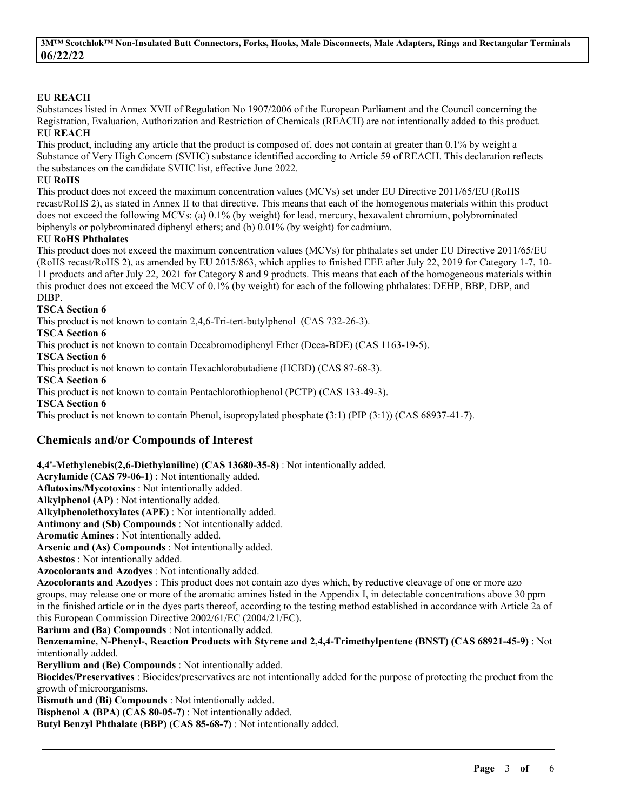### **EU REACH**

Substances listed in Annex XVII of Regulation No 1907/2006 of the European Parliament and the Council concerning the Registration, Evaluation, Authorization and Restriction of Chemicals (REACH) are not intentionally added to this product. **EU REACH**

This product, including any article that the product is composed of, does not contain at greater than 0.1% by weight a Substance of Very High Concern (SVHC) substance identified according to Article 59 of REACH. This declaration reflects the substances on the candidate SVHC list, effective June 2022.

#### **EU RoHS**

This product does not exceed the maximum concentration values (MCVs) set under EU Directive 2011/65/EU (RoHS recast/RoHS 2), as stated in Annex II to that directive. This means that each of the homogenous materials within this product does not exceed the following MCVs: (a) 0.1% (by weight) for lead, mercury, hexavalent chromium, polybrominated biphenyls or polybrominated diphenyl ethers; and (b) 0.01% (by weight) for cadmium.

#### **EU RoHS Phthalates**

This product does not exceed the maximum concentration values (MCVs) for phthalates set under EU Directive 2011/65/EU (RoHS recast/RoHS 2), as amended by EU 2015/863, which applies to finished EEE after July 22, 2019 for Category 1-7, 10- 11 products and after July 22, 2021 for Category 8 and 9 products. This means that each of the homogeneous materials within this product does not exceed the MCV of 0.1% (by weight) for each of the following phthalates: DEHP, BBP, DBP, and DIBP.

#### **TSCA Section 6**

This product is not known to contain 2,4,6-Tri-tert-butylphenol (CAS 732-26-3).

# **TSCA Section 6**

This product is not known to contain Decabromodiphenyl Ether (Deca-BDE) (CAS 1163-19-5).

**TSCA Section 6**

This product is not known to contain Hexachlorobutadiene (HCBD) (CAS 87-68-3).

**TSCA Section 6**

This product is not known to contain Pentachlorothiophenol (PCTP) (CAS 133-49-3).

**TSCA Section 6**

This product is not known to contain Phenol, isopropylated phosphate (3:1) (PIP (3:1)) (CAS 68937-41-7).

# **Chemicals and/or Compounds of Interest**

**4,4'-Methylenebis(2,6-Diethylaniline) (CAS 13680-35-8)** : Not intentionally added.

**Acrylamide (CAS 79-06-1)** : Not intentionally added.

**Aflatoxins/Mycotoxins** : Not intentionally added.

**Alkylphenol (AP)** : Not intentionally added.

**Alkylphenolethoxylates (APE)** : Not intentionally added.

**Antimony and (Sb) Compounds** : Not intentionally added.

**Aromatic Amines** : Not intentionally added.

**Arsenic and (As) Compounds** : Not intentionally added.

**Asbestos** : Not intentionally added.

**Azocolorants and Azodyes** : Not intentionally added.

**Azocolorants and Azodyes** : This product does not contain azo dyes which, by reductive cleavage of one or more azo groups, may release one or more of the aromatic amines listed in the Appendix I, in detectable concentrations above 30 ppm in the finished article or in the dyes parts thereof, according to the testing method established in accordance with Article 2a of this European Commission Directive 2002/61/EC (2004/21/EC).

**Barium and (Ba) Compounds** : Not intentionally added.

**Benzenamine, N-Phenyl-, Reaction Products with Styrene and 2,4,4-Trimethylpentene (BNST) (CAS 68921-45-9)** : Not intentionally added.

**Beryllium and (Be) Compounds** : Not intentionally added.

**Biocides/Preservatives** : Biocides/preservatives are not intentionally added for the purpose of protecting the product from the growth of microorganisms.

\_\_\_\_\_\_\_\_\_\_\_\_\_\_\_\_\_\_\_\_\_\_\_\_\_\_\_\_\_\_\_\_\_\_\_\_\_\_\_\_\_\_\_\_\_\_\_\_\_\_\_\_\_\_\_\_\_\_\_\_\_\_\_\_\_\_\_\_\_\_\_\_\_\_\_\_\_\_\_\_\_\_\_\_\_\_\_\_\_\_

**Bismuth and (Bi) Compounds** : Not intentionally added.

**Bisphenol A (BPA) (CAS 80-05-7)** : Not intentionally added.

**Butyl Benzyl Phthalate (BBP) (CAS 85-68-7)** : Not intentionally added.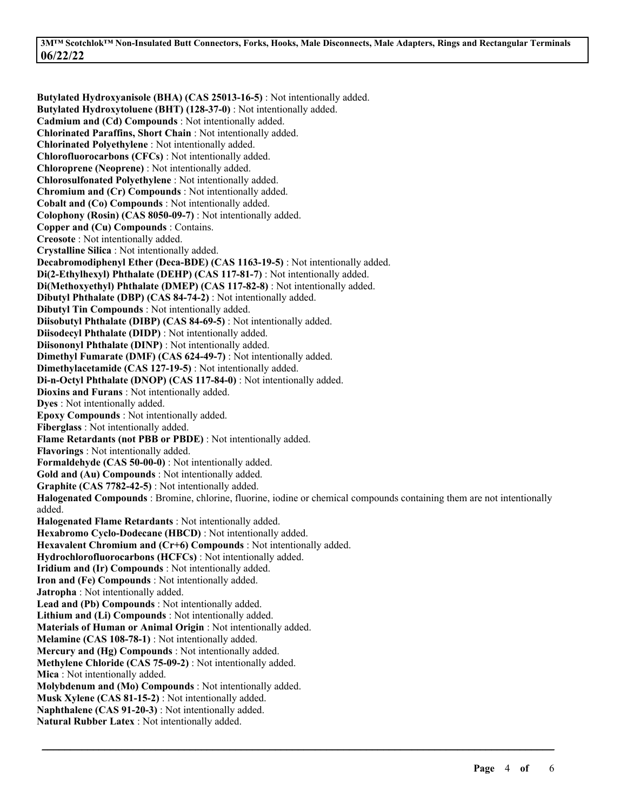3MTM ScotchlokTM Non-Insulated Butt Connectors, Forks, Hooks, Male Disconnects, Male Adapters, Rings and Rectangular Terminals **06/22/22**

**Butylated Hydroxyanisole (BHA) (CAS 25013-16-5)** : Not intentionally added. **Butylated Hydroxytoluene (BHT) (128-37-0)** : Not intentionally added. **Cadmium and (Cd) Compounds** : Not intentionally added. **Chlorinated Paraffins, Short Chain** : Not intentionally added. **Chlorinated Polyethylene** : Not intentionally added. **Chlorofluorocarbons (CFCs)** : Not intentionally added. **Chloroprene (Neoprene)** : Not intentionally added. **Chlorosulfonated Polyethylene** : Not intentionally added. **Chromium and (Cr) Compounds** : Not intentionally added. **Cobalt and (Co) Compounds** : Not intentionally added. **Colophony (Rosin) (CAS 8050-09-7)** : Not intentionally added. **Copper and (Cu) Compounds** : Contains. **Creosote** : Not intentionally added. **Crystalline Silica** : Not intentionally added. **Decabromodiphenyl Ether (Deca-BDE) (CAS 1163-19-5)** : Not intentionally added. **Di(2-Ethylhexyl) Phthalate (DEHP) (CAS 117-81-7)** : Not intentionally added. **Di(Methoxyethyl) Phthalate (DMEP) (CAS 117-82-8)** : Not intentionally added. **Dibutyl Phthalate (DBP) (CAS 84-74-2)** : Not intentionally added. **Dibutyl Tin Compounds** : Not intentionally added. **Diisobutyl Phthalate (DIBP) (CAS 84-69-5)** : Not intentionally added. **Diisodecyl Phthalate (DIDP)** : Not intentionally added. **Diisononyl Phthalate (DINP)** : Not intentionally added. **Dimethyl Fumarate (DMF) (CAS 624-49-7)** : Not intentionally added. **Dimethylacetamide (CAS 127-19-5)** : Not intentionally added. **Di-n-Octyl Phthalate (DNOP) (CAS 117-84-0)** : Not intentionally added. **Dioxins and Furans** : Not intentionally added. **Dyes** : Not intentionally added. **Epoxy Compounds** : Not intentionally added. **Fiberglass** : Not intentionally added. **Flame Retardants (not PBB or PBDE)** : Not intentionally added. **Flavorings** : Not intentionally added. **Formaldehyde (CAS 50-00-0)** : Not intentionally added. **Gold and (Au) Compounds** : Not intentionally added. **Graphite (CAS 7782-42-5)** : Not intentionally added. **Halogenated Compounds** : Bromine, chlorine, fluorine, iodine or chemical compounds containing them are not intentionally added. **Halogenated Flame Retardants** : Not intentionally added. **Hexabromo Cyclo-Dodecane (HBCD)** : Not intentionally added. **Hexavalent Chromium and (Cr+6) Compounds** : Not intentionally added. **Hydrochlorofluorocarbons (HCFCs)** : Not intentionally added. **Iridium and (Ir) Compounds** : Not intentionally added. **Iron and (Fe) Compounds** : Not intentionally added. **Jatropha** : Not intentionally added. **Lead and (Pb) Compounds** : Not intentionally added. **Lithium and (Li) Compounds** : Not intentionally added. **Materials of Human or Animal Origin** : Not intentionally added. **Melamine (CAS 108-78-1)** : Not intentionally added. **Mercury and (Hg) Compounds** : Not intentionally added. **Methylene Chloride (CAS 75-09-2)** : Not intentionally added. **Mica** : Not intentionally added. **Molybdenum and (Mo) Compounds** : Not intentionally added. **Musk Xylene (CAS 81-15-2)** : Not intentionally added. **Naphthalene (CAS 91-20-3)** : Not intentionally added. **Natural Rubber Latex** : Not intentionally added.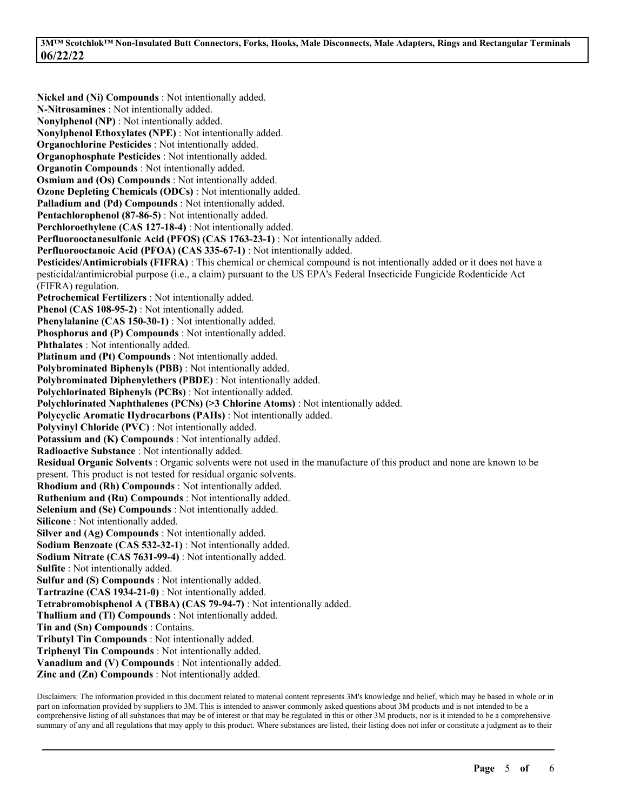**Nickel and (Ni) Compounds** : Not intentionally added. **N-Nitrosamines** : Not intentionally added. **Nonylphenol (NP)** : Not intentionally added. **Nonylphenol Ethoxylates (NPE)** : Not intentionally added. **Organochlorine Pesticides** : Not intentionally added. **Organophosphate Pesticides** : Not intentionally added. **Organotin Compounds** : Not intentionally added. **Osmium and (Os) Compounds** : Not intentionally added. **Ozone Depleting Chemicals (ODCs)** : Not intentionally added. **Palladium and (Pd) Compounds** : Not intentionally added. **Pentachlorophenol (87-86-5)** : Not intentionally added. **Perchloroethylene (CAS 127-18-4)** : Not intentionally added. **Perfluorooctanesulfonic Acid (PFOS) (CAS 1763-23-1)** : Not intentionally added. **Perfluorooctanoic Acid (PFOA) (CAS 335-67-1)** : Not intentionally added. **Pesticides/Antimicrobials (FIFRA)** : This chemical or chemical compound is not intentionally added or it does not have a pesticidal/antimicrobial purpose (i.e., a claim) pursuant to the US EPA's Federal Insecticide Fungicide Rodenticide Act (FIFRA) regulation. **Petrochemical Fertilizers** : Not intentionally added. **Phenol (CAS 108-95-2)** : Not intentionally added. **Phenylalanine (CAS 150-30-1)** : Not intentionally added. **Phosphorus and (P) Compounds** : Not intentionally added. **Phthalates** : Not intentionally added. **Platinum and (Pt) Compounds** : Not intentionally added. **Polybrominated Biphenyls (PBB)** : Not intentionally added. **Polybrominated Diphenylethers (PBDE)** : Not intentionally added. **Polychlorinated Biphenyls (PCBs)** : Not intentionally added. **Polychlorinated Naphthalenes (PCNs) (>3 Chlorine Atoms)** : Not intentionally added. **Polycyclic Aromatic Hydrocarbons (PAHs)** : Not intentionally added. **Polyvinyl Chloride (PVC)** : Not intentionally added. **Potassium and (K) Compounds** : Not intentionally added. **Radioactive Substance** : Not intentionally added. **Residual Organic Solvents** : Organic solvents were not used in the manufacture of this product and none are known to be present. This product is not tested for residual organic solvents. **Rhodium and (Rh) Compounds** : Not intentionally added. **Ruthenium and (Ru) Compounds** : Not intentionally added. **Selenium and (Se) Compounds** : Not intentionally added. **Silicone** : Not intentionally added. **Silver and (Ag) Compounds** : Not intentionally added. **Sodium Benzoate (CAS 532-32-1)** : Not intentionally added. **Sodium Nitrate (CAS 7631-99-4)** : Not intentionally added. **Sulfite** : Not intentionally added. **Sulfur and (S) Compounds** : Not intentionally added. **Tartrazine (CAS 1934-21-0)** : Not intentionally added. **Tetrabromobisphenol A (TBBA) (CAS 79-94-7)** : Not intentionally added. **Thallium and (Tl) Compounds** : Not intentionally added. **Tin and (Sn) Compounds** : Contains. **Tributyl Tin Compounds** : Not intentionally added. **Triphenyl Tin Compounds** : Not intentionally added. **Vanadium and (V) Compounds** : Not intentionally added. **Zinc and (Zn) Compounds** : Not intentionally added.

Disclaimers: The information provided in this document related to material content represents 3M's knowledge and belief, which may be based in whole or in part on information provided by suppliers to 3M. This is intended to answer commonly asked questions about 3M products and is not intended to be a comprehensive listing of all substances that may be of interest or that may be regulated in this or other 3M products, nor is it intended to be a comprehensive summary of any and all regulations that may apply to this product. Where substances are listed, their listing does not infer or constitute a judgment as to their